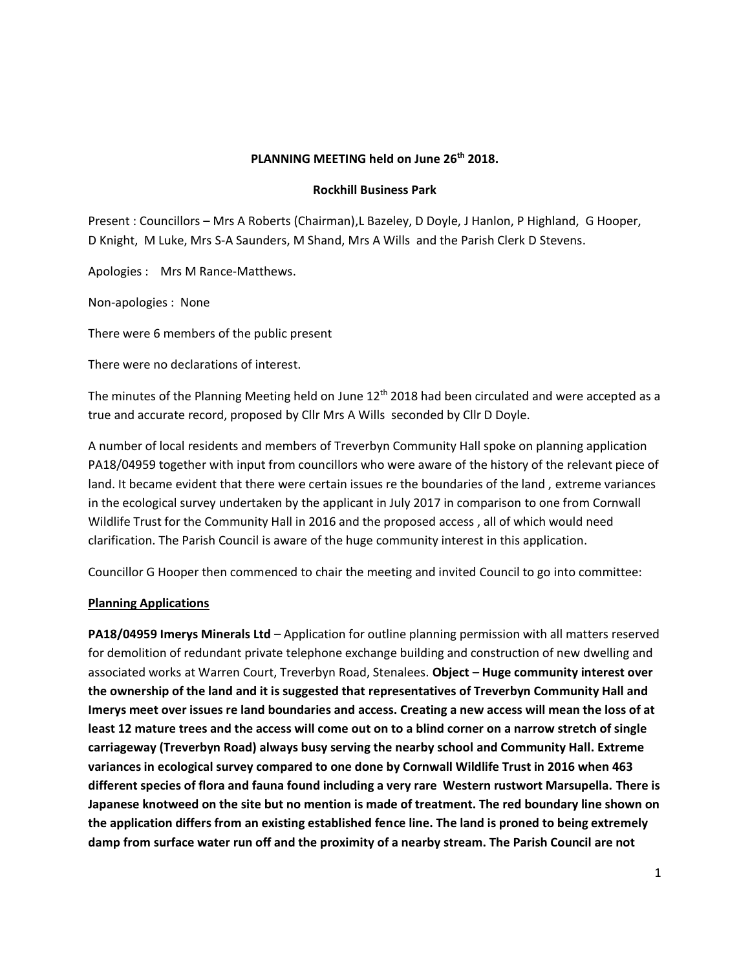#### **PLANNING MEETING held on June 26th 2018.**

#### **Rockhill Business Park**

Present : Councillors – Mrs A Roberts (Chairman),L Bazeley, D Doyle, J Hanlon, P Highland, G Hooper, D Knight, M Luke, Mrs S-A Saunders, M Shand, Mrs A Wills and the Parish Clerk D Stevens.

Apologies : Mrs M Rance-Matthews.

Non-apologies : None

There were 6 members of the public present

There were no declarations of interest.

The minutes of the Planning Meeting held on June  $12<sup>th</sup>$  2018 had been circulated and were accepted as a true and accurate record, proposed by Cllr Mrs A Wills seconded by Cllr D Doyle.

A number of local residents and members of Treverbyn Community Hall spoke on planning application PA18/04959 together with input from councillors who were aware of the history of the relevant piece of land. It became evident that there were certain issues re the boundaries of the land , extreme variances in the ecological survey undertaken by the applicant in July 2017 in comparison to one from Cornwall Wildlife Trust for the Community Hall in 2016 and the proposed access , all of which would need clarification. The Parish Council is aware of the huge community interest in this application.

Councillor G Hooper then commenced to chair the meeting and invited Council to go into committee:

### **Planning Applications**

**PA18/04959 Imerys Minerals Ltd** – Application for outline planning permission with all matters reserved for demolition of redundant private telephone exchange building and construction of new dwelling and associated works at Warren Court, Treverbyn Road, Stenalees. **Object – Huge community interest over the ownership of the land and it is suggested that representatives of Treverbyn Community Hall and Imerys meet over issues re land boundaries and access. Creating a new access will mean the loss of at least 12 mature trees and the access will come out on to a blind corner on a narrow stretch of single carriageway (Treverbyn Road) always busy serving the nearby school and Community Hall. Extreme variances in ecological survey compared to one done by Cornwall Wildlife Trust in 2016 when 463 different species of flora and fauna found including a very rare Western rustwort Marsupella. There is Japanese knotweed on the site but no mention is made of treatment. The red boundary line shown on the application differs from an existing established fence line. The land is proned to being extremely damp from surface water run off and the proximity of a nearby stream. The Parish Council are not**